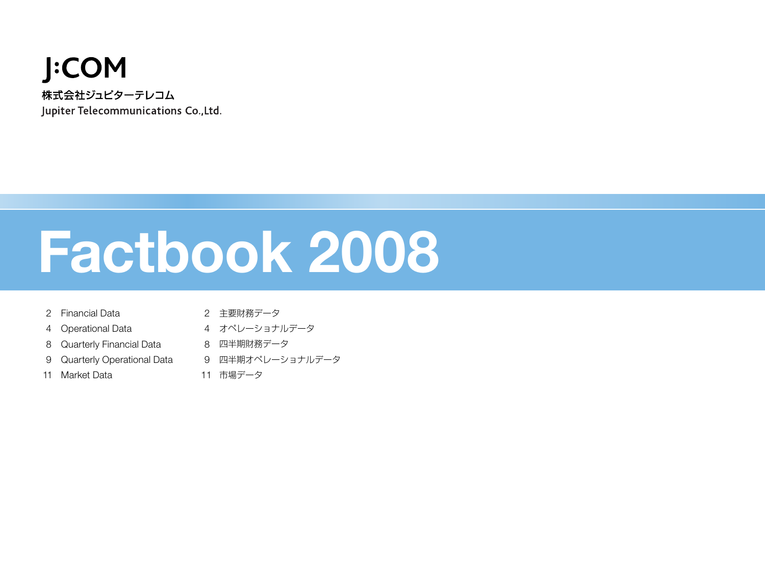## **J:COM** 株式会社ジュピターテレコム Jupiter Telecommunications Co., Ltd.

# **Factbook 2008**

- Financial Data
- 2 主要財務データ
- Operational Data
- オペレーショナルデータ
- 8 Quarterly Financial Data 8 四半期財務データ
- Quarterly Operational Data 四半期オペレーショナルデータ
- 11 Market Data
- 
- 11 市場データ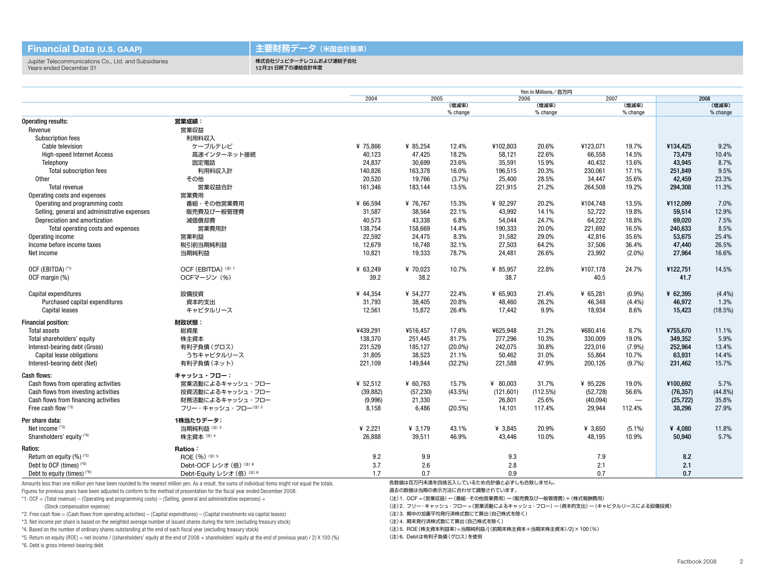#### **Financial Data (U.S. GAAP)**

#### **主要財務データ(米国会計基準)**

Jupiter Telecommunications Co., Ltd. and Subsidiaries Years ended December 31

#### 株式会社ジュピターテレコムおよび連結子会社 12月31日終了の連結会計年度

|                                              |                                                                                                                                                      |           | Yen in Millions/百万円 |                          |                                     |                   |           |                          |           |                   |  |
|----------------------------------------------|------------------------------------------------------------------------------------------------------------------------------------------------------|-----------|---------------------|--------------------------|-------------------------------------|-------------------|-----------|--------------------------|-----------|-------------------|--|
|                                              |                                                                                                                                                      | 2004      | 2005                |                          | 2006                                |                   | 2007      |                          | 2008      |                   |  |
|                                              |                                                                                                                                                      |           |                     | (増減率)<br>% change        |                                     | (増減率)<br>% change |           | (増減率)<br>% change        |           | (増減率)<br>% change |  |
| <b>Operating results:</b>                    | 営業成績:                                                                                                                                                |           |                     |                          |                                     |                   |           |                          |           |                   |  |
| Revenue                                      | 営業収益                                                                                                                                                 |           |                     |                          |                                     |                   |           |                          |           |                   |  |
| <b>Subscription fees</b>                     | 利用料収入                                                                                                                                                |           |                     |                          |                                     |                   |           |                          |           |                   |  |
| Cable television                             | ケーブルテレビ                                                                                                                                              | ¥ 75,866  | ¥ 85,254            | 12.4%                    | ¥102,803                            | 20.6%             | ¥123,071  | 19.7%                    | ¥134,425  | 9.2%              |  |
| <b>High-speed Internet Access</b>            | 高速インターネット接続                                                                                                                                          | 40,123    | 47,425              | 18.2%                    | 58,121                              | 22.6%             | 66,558    | 14.5%                    | 73,479    | 10.4%             |  |
|                                              | 固定電話                                                                                                                                                 | 24,837    | 30,699              | 23.6%                    | 35,591                              | 15.9%             | 40,432    | 13.6%                    | 43,945    | 8.7%              |  |
| Telephony<br><b>Total subscription fees</b>  | 利用料収入計                                                                                                                                               | 140,826   | 163,378             | 16.0%                    | 196,515                             | 20.3%             | 230,061   | 17.1%                    | 251,849   | 9.5%              |  |
|                                              |                                                                                                                                                      | 20,520    | 19,766              | (3.7%)                   | 25,400                              | 28.5%             | 34,447    | 35.6%                    | 42,459    | 23.3%             |  |
| <b>Other</b>                                 | その他                                                                                                                                                  |           |                     |                          |                                     |                   |           |                          |           |                   |  |
| <b>Total revenue</b>                         | 営業収益合計                                                                                                                                               | 161,346   | 183,144             | 13.5%                    | 221,915                             | 21.2%             | 264,508   | 19.2%                    | 294,308   | 11.3%             |  |
| Operating costs and expenses                 | 営業費用                                                                                                                                                 |           |                     |                          |                                     |                   |           |                          |           |                   |  |
| Operating and programming costs              | 番組・その他営業費用                                                                                                                                           | ¥ 66,594  | ¥ 76,767            | 15.3%                    | ¥ 92,297                            | 20.2%             | ¥104,748  | 13.5%                    | ¥112,099  | 7.0%              |  |
| Selling, general and administrative expenses | 販売費及び一般管理費                                                                                                                                           | 31,587    | 38,564              | 22.1%                    | 43,992                              | 14.1%             | 52,722    | 19.8%                    | 59,514    | 12.9%             |  |
| Depreciation and amortization                | 減価償却費                                                                                                                                                | 40,573    | 43,338              | 6.8%                     | 54,044                              | 24.7%             | 64,222    | 18.8%                    | 69.020    | 7.5%              |  |
| Total operating costs and expenses           | 営業費用計                                                                                                                                                | 138,754   | 158,669             | 14.4%                    | 190,333                             | 20.0%             | 221,692   | 16.5%                    | 240,633   | 8.5%              |  |
| Operating income                             | 営業利益                                                                                                                                                 | 22,592    | 24,475              | 8.3%                     | 31.582                              | 29.0%             | 42,816    | 35.6%                    | 53,675    | 25.4%             |  |
| Income before income taxes                   | 税引前当期純利益                                                                                                                                             | 12,679    | 16,748              | 32.1%                    | 27,503                              | 64.2%             | 37,506    | 36.4%                    | 47,440    | 26.5%             |  |
| Net income                                   | 当期純利益                                                                                                                                                | 10,821    | 19,333              | 78.7%                    | 24,481                              | 26.6%             | 23,992    | $(2.0\%)$                | 27.964    | 16.6%             |  |
| OCF (EBITDA) (*1)                            | OCF (EBITDA) (注) 1                                                                                                                                   | ¥ 63,249  | ¥ 70,023            | 10.7%                    | ¥ 85,957                            | 22.8%             | ¥107,178  | 24.7%                    | ¥122,751  | 14.5%             |  |
| OCF margin (%)                               | OCFマージン (%)                                                                                                                                          | 39.2      | 38.2                |                          | 38.7                                |                   | 40.5      |                          | 41.7      |                   |  |
| Capital expenditures                         | 設備投資                                                                                                                                                 | ¥ 44,354  | ¥ 54,277            | 22.4%                    | ¥ 65,903                            | 21.4%             | ¥ 65,281  | (0.9%                    | ¥ 62,395  | (4.4%)            |  |
| Purchased capital expenditures               | 資本的支出                                                                                                                                                | 31,793    | 38,405              | 20.8%                    | 48,460                              | 26.2%             | 46,348    | (4.4%)                   | 46,972    | 1.3%              |  |
| <b>Capital leases</b>                        | キャピタルリース                                                                                                                                             | 12,561    | 15,872              | 26.4%                    | 17,442                              | 9.9%              | 18,934    | 8.6%                     | 15,423    | $(18.5\%)$        |  |
| <b>Financial position:</b>                   | 財政状態:                                                                                                                                                |           |                     |                          |                                     |                   |           |                          |           |                   |  |
| <b>Total assets</b>                          | 総資産                                                                                                                                                  | ¥439,291  | ¥516,457            | 17.6%                    | ¥625,948                            | 21.2%             | ¥680,416  | 8.7%                     | ¥755,670  | 11.1%             |  |
| Total shareholders' equity                   | 株主資本                                                                                                                                                 | 138,370   | 251,445             | 81.7%                    | 277.296                             | 10.3%             | 330.009   | 19.0%                    | 349.352   | 5.9%              |  |
| Interest-bearing debt (Gross)                | 有利子負債 (グロス)                                                                                                                                          | 231,529   | 185,127             | $(20.0\%)$               | 242,075                             | 30.8%             | 223,016   | $(7.9\%)$                | 252,964   | 13.4%             |  |
| Capital lease obligations                    | うちキャピタルリース                                                                                                                                           | 31,805    | 38.523              | 21.1%                    | 50.462                              | 31.0%             | 55,864    | 10.7%                    | 63.931    | 14.4%             |  |
| Interest-bearing debt (Net)                  | 有利子負債 (ネット)                                                                                                                                          | 221,109   | 149,844             | $(32.2\%)$               | 221,588                             | 47.9%             | 200.126   | (9.7%)                   | 231.462   | 15.7%             |  |
| <b>Cash flows:</b>                           | キャッシュ・フロー:                                                                                                                                           |           |                     |                          |                                     |                   |           |                          |           |                   |  |
| Cash flows from operating activities         | 営業活動によるキャッシュ・フロー                                                                                                                                     | ¥ 52,512  | ¥ 60,763            | 15.7%                    | ¥ 80,003                            | 31.7%             | ¥ 95,226  | 19.0%                    | ¥100,692  | 5.7%              |  |
| Cash flows from investing activities         | 投資活動によるキャッシュ・フロー                                                                                                                                     | (39, 882) | (57, 230)           | $(43.5\%)$               | (121, 601)                          | (112.5%)          | (52, 728) | 56.6%                    | (76, 357) | $(44.8\%)$        |  |
| Cash flows from financing activities         | 財務活動によるキャッシュ・フロー                                                                                                                                     | (9,996)   | 21,330              | $\overline{\phantom{m}}$ | 26,801                              | 25.6%             | (40, 094) | $\overline{\phantom{m}}$ | (25, 722) | 35.8%             |  |
| Free cash flow (*2)                          | フリー・キャッシュ・フロー(注) 2                                                                                                                                   | 8,158     | 6,486               | $(20.5\%)$               | 14,101                              | 117.4%            | 29,944    | 112.4%                   | 38,296    | 27.9%             |  |
| Per share data:                              | 1株当たりデータ:                                                                                                                                            |           |                     |                          |                                     |                   |           |                          |           |                   |  |
| Net income (*3)                              | 当期純利益(注)3                                                                                                                                            | ¥ $2,221$ | ¥ 3,179             | 43.1%                    | ¥ 3.845                             | 20.9%             | ¥ 3,650   | $(5.1\%)$                | ¥ 4,080   | 11.8%             |  |
| Shareholders' equity (*4)                    | 株主資本(注) 4                                                                                                                                            | 26,888    | 39,511              | 46.9%                    | 43,446                              | 10.0%             | 48,195    | 10.9%                    | 50,940    | 5.7%              |  |
| <b>Ratios:</b>                               | <b>Ratios:</b>                                                                                                                                       |           |                     |                          |                                     |                   |           |                          |           |                   |  |
| Return on equity $(\%)^{(*)}$                | ROE (%) (#) 5                                                                                                                                        | 9.2       | 9.9                 |                          | 9.3                                 |                   | 7.9       |                          | 8.2       |                   |  |
| Debt to OCF (times) (*6)                     | Debt-OCF レシオ (倍) (注) 6                                                                                                                               | 3.7       | 2.6                 |                          | 2.8                                 |                   | 2.1       |                          | 2.1       |                   |  |
| Debt to equity (times) $(16)$                | Debt-Equity レシオ (倍) (注) 6                                                                                                                            | 1.7       | 0.7                 |                          | 0.9                                 |                   | 0.7       |                          | 0.7       |                   |  |
|                                              | Amounts less than one million ven have been rounded to the nearest million ven. As a result, the sums of individual items might not equal the totals |           |                     |                          | 各数値は百万円未満を四捨五入しているため合計値と必ずしも合致しません。 |                   |           |                          |           |                   |  |

Amounts less than one million yen have been rounded to the nearest million yen. As a result, the sums of individual items might not equal the totals.

Figures for previous years have been adjusted to conform to the method of presentation for the fiscal year ended December 2008.

\*1. OCF = (Total revenue) – (Operating and programming costs) – (Selling, general and administrative expenses) + (Stock compensation expense)

\*2. Free cash flow = (Cash flows from operating activities) – (Capital expenditures) – (Capital investments via capital leases) \*3. Net income per share is based on the weighted average number of issued shares during the term (excluding treasury stock) \*4. Based on the number of ordinary shares outstanding at the end of each fiscal year (excluding treasury stock)

過去の数値は当期の表示方法に合わせて調整されています。

(注)1. OCF =(営業収益)ー(番組・その他営業費用)ー(販売費及び一般管理費)+(株式報酬費用)

(注)2. フリー・キャッシュ・フロー =(営業活動によるキャッシュ・フロー)ー(資本的支出)ー(キャピタルリースによる設備投資)

(注)3. 期中の加重平均発行済株式数にて算出(自己株式を除く)

(注)4. 期末発行済株式数にて算出(自己株式を除く)

(注)5. ROE(株主資本利益率)=当期純利益/({ 前期末株主資本+当期末株主資本)/2}×100(%)

(注)6. Debtは有利子負債(グロス)を使用

\*5. Return on equity (ROE) = net income / ((shareholders' equity at the end of 2008 + shareholders' equity at the end of previous year) / 2) X 100 (%)

\*6. Debt is gross interest-bearing debt.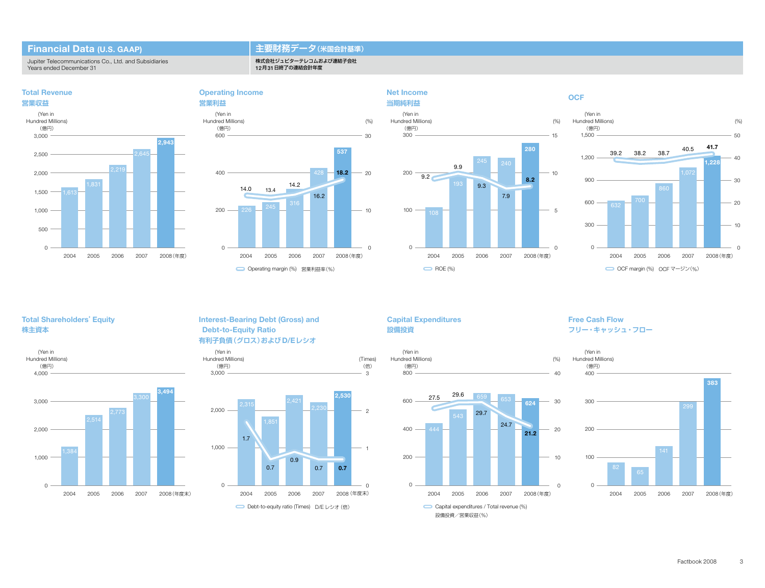#### **Financial Data (U.S. GAAP)**

**Total Revenue**

Jupiter Telecommunications Co., Ltd. and Subsidiaries Years ended December 31

#### **主要財務データ(米国会計基準)**

株式会社ジュピターテレコムおよび連結子会社 12月31日終了の連結会計年度

**Operating Income**







#### **OCF**



#### **Total Shareholders' Equity 株主資本**





#### **Interest-Bearing Debt (Gross) and Debt-to-Equity Ratio 有利子負債(グロス)およびD/Eレシオ**





#### **Capital Expenditures 設備投資**

**Net Income**





#### **Free Cash Flow フリー・キャッシュ・フロー**

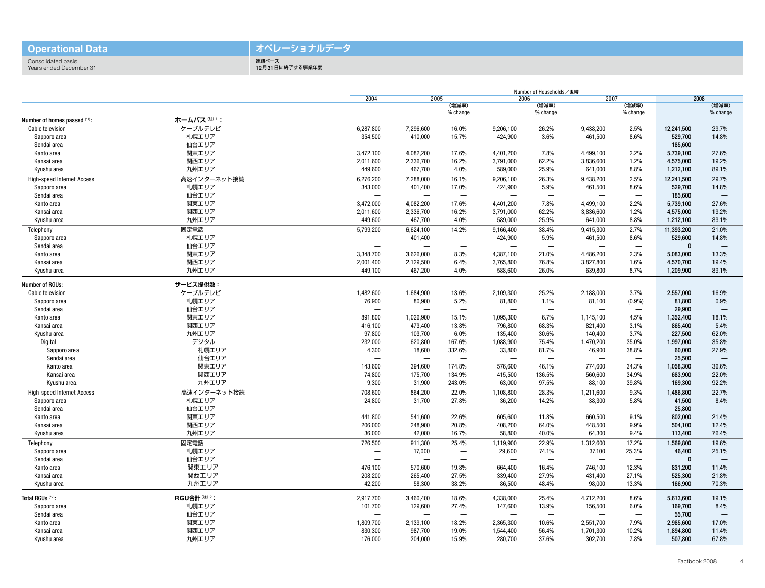#### **Operational Data**

### **オペレーショナルデータ**

Consolidated basis Years ended December 31

連結ベース ーー<br>12月31日に終了する事業年度

|                                   |                   |                          | Number of Households/世帯          |                                  |                          |                          |                          |                          |              |                          |  |
|-----------------------------------|-------------------|--------------------------|----------------------------------|----------------------------------|--------------------------|--------------------------|--------------------------|--------------------------|--------------|--------------------------|--|
|                                   |                   | 2004                     | 2005                             |                                  | 2006                     |                          | 2007                     |                          | 2008         |                          |  |
|                                   |                   |                          |                                  | (増減率)<br>% change                |                          | (増減率)<br>% change        |                          | (増減率)<br>% change        |              | (増減率)<br>% change        |  |
| Number of homes passed (*1):      | ホームパス(注)1:        |                          |                                  |                                  |                          |                          |                          |                          |              |                          |  |
| Cable television                  | ケーブルテレビ           | 6,287,800                | 7,296,600                        | 16.0%                            | 9,206,100                | 26.2%                    | 9,438,200                | 2.5%                     | 12,241,500   | 29.7%                    |  |
| Sapporo area                      | 札幌エリア             | 354,500                  | 410,000                          | 15.7%                            | 424,900                  | 3.6%                     | 461,500                  | 8.6%                     | 529,700      | 14.8%                    |  |
| Sendai area                       | 仙台エリア             | $\overline{\phantom{0}}$ | $\overline{\phantom{0}}$         | $\overbrace{\phantom{12322111}}$ |                          | $\overline{\phantom{0}}$ | $\overline{\phantom{0}}$ | $\overline{\phantom{0}}$ | 185.600      | $\overline{\phantom{0}}$ |  |
|                                   |                   |                          |                                  | 17.6%                            |                          |                          |                          | 2.2%                     |              |                          |  |
| Kanto area                        | 関東エリア             | 3,472,100                | 4,082,200                        |                                  | 4,401,200                | 7.8%                     | 4,499,100                |                          | 5,739,100    | 27.6%                    |  |
| Kansai area                       | 関西エリア             | 2,011,600                | 2,336,700                        | 16.2%                            | 3,791,000                | 62.2%                    | 3,836,600                | 1.2%                     | 4,575,000    | 19.2%                    |  |
| Kyushu area                       | 九州エリア             | 449,600                  | 467,700                          | 4.0%                             | 589,000                  | 25.9%                    | 641,000                  | 8.8%                     | 1,212,100    | 89.1%                    |  |
| <b>High-speed Internet Access</b> | 高速インターネット接続       | 6,276,200                | 7,288,000                        | 16.1%                            | 9,206,100                | 26.3%                    | 9,438,200                | 2.5%                     | 12,241,500   | 29.7%                    |  |
| Sapporo area                      | 札幌エリア             | 343,000                  | 401,400                          | 17.0%                            | 424,900                  | 5.9%                     | 461,500                  | 8.6%                     | 529,700      | 14.8%                    |  |
| Sendai area                       | 仙台エリア             | $\overline{\phantom{0}}$ | $\overline{\phantom{0}}$         |                                  | $\overline{\phantom{0}}$ |                          |                          |                          | 185,600      | $\overline{\phantom{a}}$ |  |
| Kanto area                        | 関東エリア             | 3,472,000                | 4,082,200                        | 17.6%                            | 4,401,200                | 7.8%                     | 4,499,100                | 2.2%                     | 5,739,100    | 27.6%                    |  |
| Kansai area                       | 関西エリア             | 2,011,600                | 2,336,700                        | 16.2%                            | 3,791,000                | 62.2%                    | 3,836,600                | 1.2%                     | 4,575,000    | 19.2%                    |  |
| Kyushu area                       | 九州エリア             | 449,600                  | 467,700                          | 4.0%                             | 589,000                  | 25.9%                    | 641,000                  | 8.8%                     | 1,212,100    | 89.1%                    |  |
| Telephony                         | 固定電話              | 5,799,200                | 6,624,100                        | 14.2%                            | 9,166,400                | 38.4%                    | 9,415,300                | 2.7%                     | 11,393,200   | 21.0%                    |  |
| Sapporo area                      | 札幌エリア             | ۰                        | 401,400                          | $\overline{\phantom{0}}$         | 424,900                  | 5.9%                     | 461,500                  | 8.6%                     | 529,600      | 14.8%                    |  |
| Sendai area                       | 仙台エリア             | L.                       |                                  | $\sim$                           |                          | $\sim$                   |                          |                          | $\mathbf{0}$ |                          |  |
| Kanto area                        | 関東エリア             | 3,348,700                | 3,626,000                        | 8.3%                             | 4,387,100                | 21.0%                    | 4,486,200                | 2.3%                     | 5,083,000    | 13.3%                    |  |
| Kansai area                       | 関西エリア             | 2,001,400                | 2,129,500                        | 6.4%                             | 3,765,800                | 76.8%                    | 3,827,800                | 1.6%                     | 4,570,700    | 19.4%                    |  |
| Kyushu area                       | 九州エリア             | 449,100                  | 467,200                          | 4.0%                             | 588,600                  | 26.0%                    | 639,800                  | 8.7%                     | 1,209,900    | 89.1%                    |  |
|                                   |                   |                          |                                  |                                  |                          |                          |                          |                          |              |                          |  |
| <b>Number of RGUs:</b>            | サービス提供数:          |                          |                                  |                                  |                          |                          |                          |                          |              |                          |  |
| Cable television                  | ケーブルテレビ           | 1,482,600                | 1,684,900                        | 13.6%                            | 2,109,300                | 25.2%                    | 2,188,000                | 3.7%                     | 2,557,000    | 16.9%                    |  |
| Sapporo area                      | 札幌エリア             | 76,900                   | 80,900                           | 5.2%                             | 81,800                   | 1.1%                     | 81,100                   | $(0.9\%)$                | 81,800       | 0.9%                     |  |
| Sendai area                       | 仙台エリア             | -                        |                                  | $\overline{\phantom{0}}$         |                          | $\overline{\phantom{0}}$ |                          | -                        | 29,900       |                          |  |
| Kanto area                        | 関東エリア             | 891,800                  | 1,026,900                        | 15.1%                            | 1,095,300                | 6.7%                     | 1,145,100                | 4.5%                     | 1,352,400    | 18.1%                    |  |
| Kansai area                       | 関西エリア             | 416,100                  | 473,400                          | 13.8%                            | 796,800                  | 68.3%                    | 821,400                  | 3.1%                     | 865,400      | 5.4%                     |  |
| Kyushu area                       | 九州エリア             | 97,800                   | 103,700                          | 6.0%                             | 135,400                  | 30.6%                    | 140,400                  | 3.7%                     | 227.500      | 62.0%                    |  |
| Digital                           | デジタル              | 232,000                  | 620,800                          | 167.6%                           | 1,088,900                | 75.4%                    | 1,470,200                | 35.0%                    | 1,997,000    | 35.8%                    |  |
| Sapporo area                      | 札幌エリア             | 4,300                    | 18,600                           | 332.6%                           | 33,800                   | 81.7%                    | 46,900                   | 38.8%                    | 60,000       | 27.9%                    |  |
| Sendai area                       | 仙台エリア             |                          | $\overline{\phantom{0}}$         |                                  |                          |                          | $\overline{\phantom{0}}$ |                          | 25.500       | $\overline{\phantom{0}}$ |  |
| Kanto area                        | 関東エリア             | 143,600                  | 394,600                          | 174.8%                           | 576,600                  | 46.1%                    | 774,600                  | 34.3%                    | 1,058,300    | 36.6%                    |  |
| Kansai area                       | 関西エリア             | 74,800                   | 175,700                          | 134.9%                           | 415,500                  | 136.5%                   | 560,600                  | 34.9%                    | 683,900      | 22.0%                    |  |
| Kyushu area                       | 九州エリア             | 9,300                    | 31,900                           | 243.0%                           | 63,000                   | 97.5%                    | 88,100                   | 39.8%                    | 169,300      | 92.2%                    |  |
|                                   |                   |                          |                                  |                                  |                          |                          |                          |                          |              |                          |  |
| <b>High-speed Internet Access</b> | 高速インターネット接続       | 708,600                  | 864,200                          | 22.0%                            | 1,108,800                | 28.3%                    | 1,211,600                | 9.3%                     | 1,486,800    | 22.7%                    |  |
| Sapporo area                      | 札幌エリア             | 24,800                   | 31,700                           | 27.8%                            | 36,200                   | 14.2%                    | 38,300                   | 5.8%                     | 41,500       | 8.4%                     |  |
| Sendai area                       | 仙台エリア             | $\overline{\phantom{0}}$ | $\overbrace{\phantom{12322111}}$ | $\overbrace{\phantom{12322111}}$ | $\overline{\phantom{a}}$ | $\overline{\phantom{0}}$ | $\overline{\phantom{0}}$ | $\overline{\phantom{a}}$ | 25,800       | $\overline{\phantom{0}}$ |  |
| Kanto area                        | 関東エリア             | 441,800                  | 541,600                          | 22.6%                            | 605,600                  | 11.8%                    | 660,500                  | 9.1%                     | 802,000      | 21.4%                    |  |
| Kansai area                       | 関西エリア             | 206,000                  | 248,900                          | 20.8%                            | 408,200                  | 64.0%                    | 448,500                  | 9.9%                     | 504,100      | 12.4%                    |  |
| Kyushu area                       | 九州エリア             | 36,000                   | 42,000                           | 16.7%                            | 58,800                   | 40.0%                    | 64,300                   | 9.4%                     | 113,400      | 76.4%                    |  |
| Telephony                         | 固定電話              | 726,500                  | 911,300                          | 25.4%                            | 1,119,900                | 22.9%                    | 1,312,600                | 17.2%                    | 1,569,800    | 19.6%                    |  |
| Sapporo area                      | 札幌エリア             |                          | 17,000                           | $\overline{\phantom{0}}$         | 29,600                   | 74.1%                    | 37,100                   | 25.3%                    | 46,400       | 25.1%                    |  |
| Sendai area                       | 仙台エリア             | $\overline{\phantom{0}}$ | $\overline{\phantom{0}}$         |                                  | $\overline{\phantom{0}}$ |                          | $\overline{\phantom{0}}$ | $\overline{\phantom{0}}$ | $\mathbf{0}$ |                          |  |
| Kanto area                        | 関東エリア             | 476,100                  | 570,600                          | 19.8%                            | 664,400                  | 16.4%                    | 746,100                  | 12.3%                    | 831,200      | 11.4%                    |  |
| Kansai area                       | 関西エリア             | 208,200                  | 265,400                          | 27.5%                            | 339,400                  | 27.9%                    | 431,400                  | 27.1%                    | 525.300      | 21.8%                    |  |
| Kyushu area                       | 九州エリア             | 42,200                   | 58,300                           | 38.2%                            | 86,500                   | 48.4%                    | 98,000                   | 13.3%                    | 166,900      | 70.3%                    |  |
|                                   |                   |                          |                                  |                                  |                          |                          |                          |                          |              |                          |  |
| Total RGUs (*2):                  | <b>RGU合計(注)2:</b> | 2,917,700                | 3,460,400                        | 18.6%                            | 4,338,000                | 25.4%                    | 4,712,200                | 8.6%                     | 5,613,600    | 19.1%                    |  |
| Sapporo area                      | 札幌エリア             | 101,700                  | 129,600                          | 27.4%                            | 147,600                  | 13.9%                    | 156,500                  | 6.0%                     | 169,700      | 8.4%                     |  |
| Sendai area                       | 仙台エリア             | $\overline{\phantom{0}}$ | $\overline{\phantom{0}}$         | $\overline{\phantom{0}}$         | $\overline{\phantom{0}}$ |                          | $\overline{\phantom{0}}$ | $\overline{\phantom{a}}$ | 55,700       |                          |  |
| Kanto area                        | 関東エリア             | 1,809,700                | 2,139,100                        | 18.2%                            | 2,365,300                | 10.6%                    | 2,551,700                | 7.9%                     | 2,985,600    | 17.0%                    |  |
| Kansai area                       | 関西エリア             | 830,300                  | 987,700                          | 19.0%                            | 1,544,400                | 56.4%                    | 1,701,300                | 10.2%                    | 1,894,800    | 11.4%                    |  |
| Kyushu area                       | 九州エリア             | 176,000                  | 204,000                          | 15.9%                            | 280,700                  | 37.6%                    | 302,700                  | 7.8%                     | 507,800      | 67.8%                    |  |
|                                   |                   |                          |                                  |                                  |                          |                          |                          |                          |              |                          |  |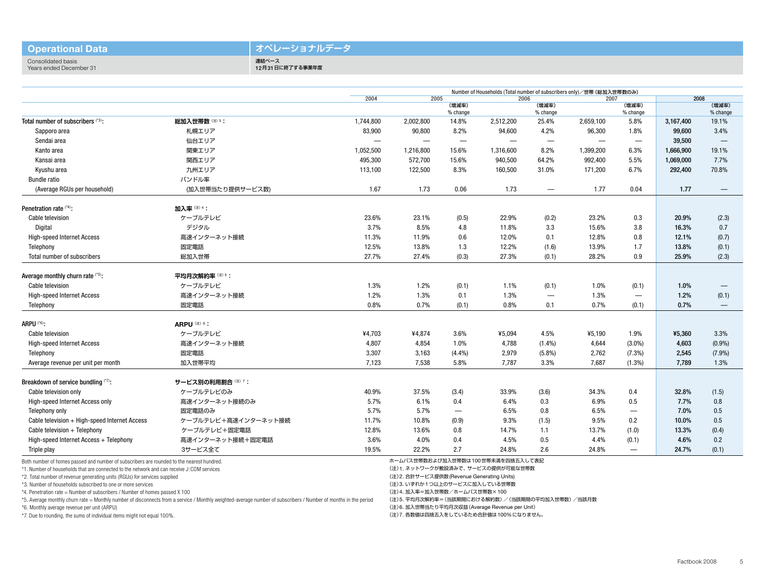#### **Operational Data**

#### **オペレーショナルデータ**

Consolidated basis Years ended December 31 連結ベース 12月31日に終了する事業年度

|                                               |                         | 2004                     | 2005                     |                   | 2006<br>(増減率)            |                                  | 2007              |                                | 2008      |                                 |
|-----------------------------------------------|-------------------------|--------------------------|--------------------------|-------------------|--------------------------|----------------------------------|-------------------|--------------------------------|-----------|---------------------------------|
|                                               |                         |                          |                          | (増減率)<br>% change |                          | % change                         |                   | (増減率)<br>% change              |           | (増減率)<br>% change               |
| Total number of subscribers (*3):             | 総加入世帯数(注)3:             | 1,744,800                | 2,002,800                | 14.8%             | 2,512,200                | 25.4%                            | 2,659,100         | 5.8%                           | 3,167,400 | 19.1%                           |
| Sapporo area                                  | 札幌エリア                   | 83,900                   | 90,800                   | 8.2%              | 94,600                   | 4.2%                             | 96,300            | 1.8%                           | 99,600    | 3.4%                            |
| Sendai area                                   | 仙台エリア                   | $\overline{\phantom{0}}$ | $\overline{\phantom{0}}$ | $\hspace{0.05cm}$ | $\overline{\phantom{0}}$ | $\overbrace{\phantom{12322111}}$ | $\hspace{0.05cm}$ | $\hspace{0.05cm}$              | 39,500    |                                 |
| Kanto area                                    | 関東エリア                   | 1,052,500                | 1,216,800                | 15.6%             | 1,316,600                | 8.2%                             | 1,399,200         | 6.3%                           | 1,666,900 | 19.1%                           |
| Kansai area                                   | 関西エリア                   | 495,300                  | 572,700                  | 15.6%             | 940,500                  | 64.2%                            | 992,400           | 5.5%                           | 1,069,000 | 7.7%                            |
| Kyushu area                                   | 九州エリア                   | 113,100                  | 122,500                  | 8.3%              | 160,500                  | 31.0%                            | 171,200           | 6.7%                           | 292,400   | 70.8%                           |
| <b>Bundle ratio</b>                           | バンドル率                   |                          |                          |                   |                          |                                  |                   |                                |           |                                 |
| (Average RGUs per household)                  | (加入世帯当たり提供サービス数)        | 1.67                     | 1.73                     | 0.06              | 1.73                     | $\hspace{0.05cm}$                | 1.77              | 0.04                           | 1.77      | $\overbrace{\phantom{1232211}}$ |
| Penetration rate (*4):                        | 加入率(注) 4:               |                          |                          |                   |                          |                                  |                   |                                |           |                                 |
| Cable television                              | ケーブルテレビ                 | 23.6%                    | 23.1%                    | (0.5)             | 22.9%                    | (0.2)                            | 23.2%             | 0.3                            | 20.9%     | (2.3)                           |
| Digital                                       | デジタル                    | 3.7%                     | 8.5%                     | 4.8               | 11.8%                    | 3.3                              | 15.6%             | 3.8                            | 16.3%     | 0.7                             |
| <b>High-speed Internet Access</b>             | 高速インターネット接続             | 11.3%                    | 11.9%                    | 0.6               | 12.0%                    | 0.1                              | 12.8%             | 0.8                            | 12.1%     | (0.7)                           |
| Telephony                                     | 固定電話                    | 12.5%                    | 13.8%                    | 1.3               | 12.2%                    | (1.6)                            | 13.9%             | 1.7                            | 13.8%     | (0.1)                           |
| Total number of subscribers                   | 総加入世帯                   | 27.7%                    | 27.4%                    | (0.3)             | 27.3%                    | (0.1)                            | 28.2%             | 0.9                            | 25.9%     | (2.3)                           |
| Average monthly churn rate (*5):              | 平均月次解約率 (注) 5:          |                          |                          |                   |                          |                                  |                   |                                |           |                                 |
| Cable television                              | ケーブルテレビ                 | 1.3%                     | 1.2%                     | (0.1)             | 1.1%                     | (0.1)                            | 1.0%              | (0.1)                          | 1.0%      |                                 |
| <b>High-speed Internet Access</b>             | 高速インターネット接続             | 1.2%                     | 1.3%                     | 0.1               | 1.3%                     |                                  | 1.3%              | $\qquad \qquad \longleftarrow$ | 1.2%      | (0.1)                           |
| Telephony                                     | 固定電話                    | 0.8%                     | 0.7%                     | (0.1)             | 0.8%                     | 0.1                              | 0.7%              | (0.1)                          | 0.7%      |                                 |
| ARPU <sup>(*6)</sup> :                        | ARPU <sup>(注) 6</sup> : |                          |                          |                   |                          |                                  |                   |                                |           |                                 |
| Cable television                              | ケーブルテレビ                 | ¥4,703                   | ¥4,874                   | 3.6%              | ¥5,094                   | 4.5%                             | ¥5,190            | 1.9%                           | ¥5,360    | 3.3%                            |
| <b>High-speed Internet Access</b>             | 高速インターネット接続             | 4,807                    | 4,854                    | 1.0%              | 4,788                    | $(1.4\%)$                        | 4,644             | $(3.0\%)$                      | 4,603     | (0.9%                           |
| Telephony                                     | 固定電話                    | 3,307                    | 3,163                    | (4.4%)            | 2,979                    | (5.8%)                           | 2,762             | $(7.3\%)$                      | 2,545     | (7.9%)                          |
| Average revenue per unit per month            | 加入世帯平均                  | 7,123                    | 7,538                    | 5.8%              | 7,787                    | 3.3%                             | 7,687             | $(1.3\%)$                      | 7,789     | 1.3%                            |
| Breakdown of service bundling (*7):           | サービス別の利用割合 (注)7:        |                          |                          |                   |                          |                                  |                   |                                |           |                                 |
| Cable television only                         | ケーブルテレビのみ               | 40.9%                    | 37.5%                    | (3.4)             | 33.9%                    | (3.6)                            | 34.3%             | 0.4                            | 32.8%     | (1.5)                           |
| High-speed Internet Access only               | 高速インターネット接続のみ           | 5.7%                     | 6.1%                     | 0.4               | 6.4%                     | 0.3                              | 6.9%              | 0.5                            | 7.7%      | 0.8                             |
| Telephony only                                | 固定電話のみ                  | 5.7%                     | 5.7%                     | $\qquad \qquad -$ | 6.5%                     | 0.8                              | 6.5%              | $\qquad \qquad -$              | 7.0%      | 0.5                             |
| Cable television + High-speed Internet Access | ケーブルテレビ+高速インターネット接続     | 11.7%                    | 10.8%                    | (0.9)             | 9.3%                     | (1.5)                            | 9.5%              | 0.2                            | 10.0%     | 0.5                             |
| Cable television + Telephony                  | ケーブルテレビ+固定電話            | 12.8%                    | 13.6%                    | 0.8               | 14.7%                    | 1.1                              | 13.7%             | (1.0)                          | 13.3%     | (0.4)                           |
| High-speed Internet Access + Telephony        | 高速インターネット接続+固定電話        | 3.6%                     | 4.0%                     | 0.4               | 4.5%                     | 0.5                              | 4.4%              | (0.1)                          | 4.6%      | 0.2                             |
| Triple play                                   | 3サービス全て                 | 19.5%                    | 22.2%                    | 2.7               | 24.8%                    | 2.6                              | 24.8%             | $\overline{\phantom{0}}$       | 24.7%     | (0.1)                           |
|                                               |                         |                          |                          |                   |                          |                                  |                   |                                |           |                                 |

Both number of homes passed and number of subscribers are rounded to the nearest hundred.

\*1. Number of households that are connected to the network and can receive J:COM services

\*2. Total number of revenue generating units (RGUs) for services supplied

\*3. Number of households subscribed to one or more services

\*4. Penetration rate = Number of subscribers / Number of homes passed X 100

\*5. Average monthly churn rate = Monthly number of disconnects from a service / Monthly weighted-average number of subscribers / Number of months in the period

\*6. Monthly average revenue per unit (ARPU)

\*7. Due to rounding, the sums of individual items might not equal 100%.

ホームパス世帯数および加入世帯数は100世帯未満を四捨五入して表記

(注)1. ネットワークが敷設済みで、サービスの提供が可能な世帯数

(注)2. 合計サービス提供数(Revenue Generating Units)

(注)3. いずれか1つ以上のサービスに加入している世帯数

(注)4. 加入率=加入世帯数/ホームパス世帯数×100

(注)5. 平均月次解約率=(当該期間における解約数)/(当該期間の平均加入世帯数)/当該月数

(注)6. 加入世帯当たり平均月次収益(Average Revenue per Unit)

(注)7. 各数値は四捨五入をしているため合計値は100%になりません。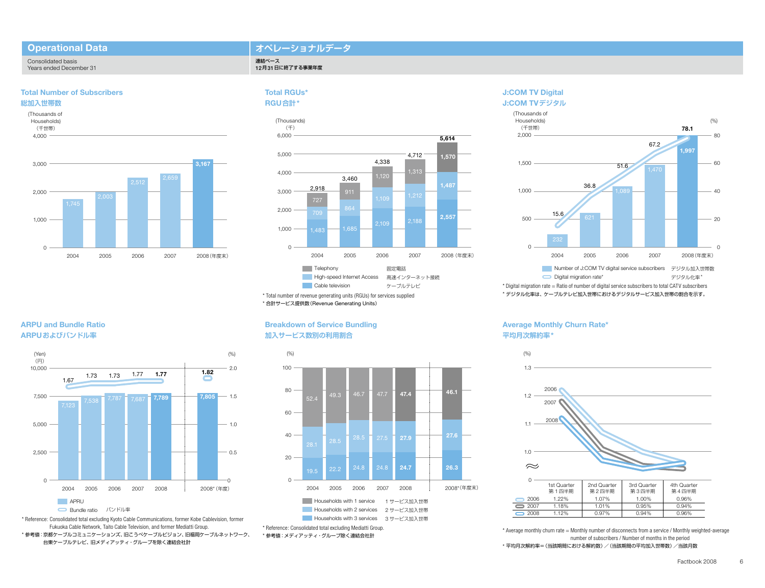#### **Operational Data**

#### **オペレーショナルデータ**

12月31日に終了する事業年度

Consolidated basis Years ended December 31

#### **Total Number of Subscribers**







#### **Total RGUs\* RGU合計\***

連結ベース



\* Total number of revenue generating units (RGUs) for services supplied \* 合計サービス提供数(Revenue Generating Units)

#### **Breakdown of Service Bundling 加入サービス数別の利用割合**



#### **J:COM TV Digital J:COM TVデジタル**



\* Digital migration rate = Ratio of number of digital service subscribers to total CATV subscribers \* デジタル化率は、ケーブルテレビ加入世帯におけるデジタルサービス加入世帯の割合を示す。

#### **Average Monthly Churn Rate\* 平均月次解約率\***



\* Average monthly churn rate = Monthly number of disconnects from a service / Monthly weighted-average number of subscribers / Number of months in the period \* 平均月次解約率=(当該期間における解約数)/(当該期間の平均加入世帯数)/当該月数

2008 1.12% 0.97% 0.94% 0.96%

### **ARPU and Bundle Ratio ARPUおよびバンドル率**



\* Reference: Consolidated total excluding Kyoto Cable Communications, former Kobe Cablevision, former Fukuoka Cable Network, Taito Cable Television, and former Mediatti Group. \* 参考値:京都ケーブルコミュニケーションズ、旧こうべケーブルビジョン、旧福岡ケーブルネットワーク、 台東ケーブルテレビ、旧メディアッティ・グループを除く連結会社計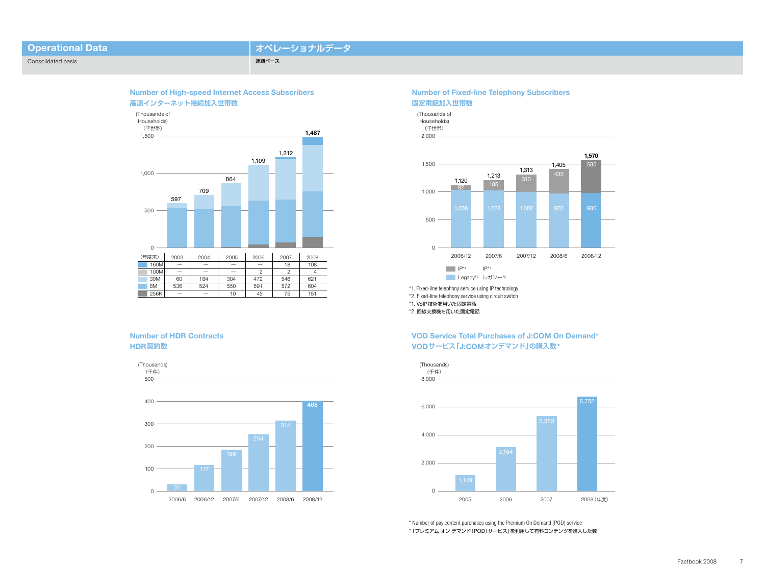| <b>Operational Data</b> |  |
|-------------------------|--|
|                         |  |
|                         |  |

## **オペレーショナルデータ**

連結ベース



#### **Number of HDR Contracts HDR契約数**



#### **Number of Fixed-line Telephony Subscribers 固定電話加入世帯数**





\*1. Fixed-line telephony service using IP technology

\*2. 回線交換機を用いた固定電話

#### **VOD Service Total Purchases of J:COM On Demand\* VODサービス「J:COMオンデマンド」の購入数\***



8,000



\* Number of pay content purchases using the Premium On Demand (POD) service \*「プレミアム オン デマンド(POD)サービス」を利用して有料コンテンツを購入した数

#### \*2. Fixed-line telephony service using circuit switch \*1. VoIP技術を用いた固定電話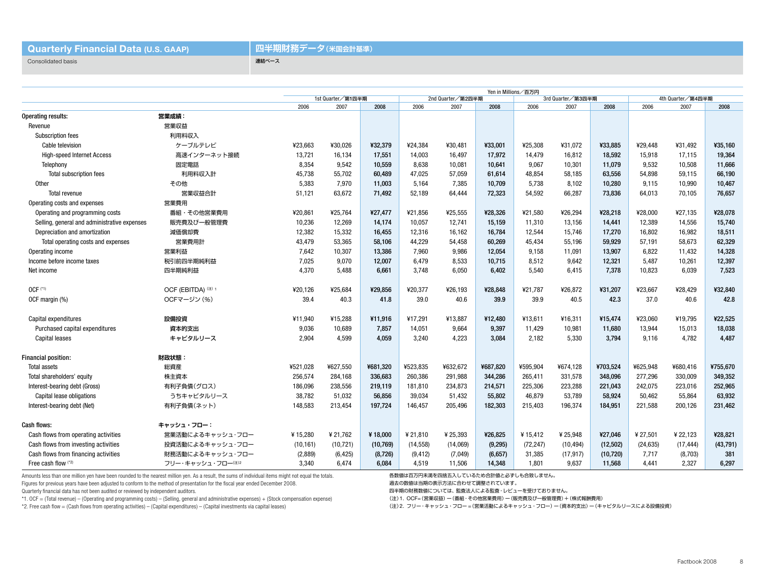Consolidated basis

#### **四半期財務データ(米国会計基準)**

連結ベース

|                                              |                    | Yen in Millions/百万円 |           |           |           |                   |          |           |                   |           |           |                   |          |  |
|----------------------------------------------|--------------------|---------------------|-----------|-----------|-----------|-------------------|----------|-----------|-------------------|-----------|-----------|-------------------|----------|--|
|                                              |                    | 1st Quarter/第1四半期   |           |           |           | 2nd Quarter/第2四半期 |          |           | 3rd Quarter/第3四半期 |           |           | 4th Quarter/第4四半期 |          |  |
|                                              |                    | 2006                | 2007      | 2008      | 2006      | 2007              | 2008     | 2006      | 2007              | 2008      | 2006      | 2007              | 2008     |  |
| Operating results:                           | 営業成績:              |                     |           |           |           |                   |          |           |                   |           |           |                   |          |  |
| Revenue                                      | 営業収益               |                     |           |           |           |                   |          |           |                   |           |           |                   |          |  |
| Subscription fees                            | 利用料収入              |                     |           |           |           |                   |          |           |                   |           |           |                   |          |  |
| Cable television                             | ケーブルテレビ            | ¥23,663             | ¥30,026   | ¥32,379   | ¥24,384   | ¥30,481           | ¥33,001  | ¥25,308   | ¥31,072           | ¥33,885   | ¥29,448   | ¥31,492           | ¥35,160  |  |
| <b>High-speed Internet Access</b>            | 高速インターネット接続        | 13,721              | 16,134    | 17,551    | 14,003    | 16,497            | 17,972   | 14,479    | 16,812            | 18,592    | 15,918    | 17,115            | 19,364   |  |
| Telephony                                    | 固定電話               | 8,354               | 9,542     | 10,559    | 8,638     | 10,081            | 10,641   | 9,067     | 10,301            | 11,079    | 9,532     | 10,508            | 11,666   |  |
| <b>Total subscription fees</b>               | 利用料収入計             | 45,738              | 55,702    | 60,489    | 47,025    | 57,059            | 61,614   | 48,854    | 58,185            | 63,556    | 54,898    | 59,115            | 66,190   |  |
| Other                                        | その他                | 5,383               | 7,970     | 11,003    | 5,164     | 7,385             | 10,709   | 5,738     | 8,102             | 10,280    | 9,115     | 10,990            | 10,467   |  |
| <b>Total revenue</b>                         | 営業収益合計             | 51,121              | 63,672    | 71,492    | 52,189    | 64,444            | 72,323   | 54,592    | 66,287            | 73,836    | 64,013    | 70,105            | 76,657   |  |
| Operating costs and expenses                 | 営業費用               |                     |           |           |           |                   |          |           |                   |           |           |                   |          |  |
| Operating and programming costs              | 番組・その他営業費用         | ¥20,861             | ¥25,764   | ¥27,477   | ¥21,856   | ¥25,555           | ¥28,326  | ¥21,580   | ¥26,294           | ¥28,218   | ¥28,000   | ¥27,135           | ¥28,078  |  |
| Selling, general and administrative expenses | 販売費及び一般管理費         | 10,236              | 12,269    | 14,174    | 10,057    | 12,741            | 15,159   | 11,310    | 13,156            | 14,441    | 12,389    | 14,556            | 15,740   |  |
| Depreciation and amortization                | 減価償却費              | 12,382              | 15,332    | 16,455    | 12,316    | 16,162            | 16,784   | 12,544    | 15,746            | 17,270    | 16,802    | 16,982            | 18,511   |  |
| Total operating costs and expenses           | 営業費用計              | 43,479              | 53,365    | 58,106    | 44,229    | 54,458            | 60,269   | 45,434    | 55,196            | 59,929    | 57,191    | 58,673            | 62,329   |  |
| Operating income                             | 営業利益               | 7,642               | 10,307    | 13,386    | 7,960     | 9,986             | 12,054   | 9,158     | 11,091            | 13,907    | 6,822     | 11,432            | 14,328   |  |
| Income before income taxes                   | 税引前四半期純利益          | 7,025               | 9,070     | 12,007    | 6,479     | 8,533             | 10,715   | 8,512     | 9,642             | 12,321    | 5,487     | 10,261            | 12,397   |  |
| Net income                                   | 四半期純利益             | 4,370               | 5,488     | 6,661     | 3.748     | 6,050             | 6,402    | 5,540     | 6,415             | 7,378     | 10,823    | 6,039             | 7,523    |  |
| $OCF$ $(1)$                                  | OCF (EBITDA) (2) 1 | ¥20,126             | ¥25,684   | ¥29.856   | ¥20.377   | ¥26,193           | ¥28,848  | ¥21.787   | ¥26,872           | ¥31,207   | ¥23.667   | ¥28,429           | ¥32,840  |  |
| OCF margin (%)                               | OCFマージン (%)        | 39.4                | 40.3      | 41.8      | 39.0      | 40.6              | 39.9     | 39.9      | 40.5              | 42.3      | 37.0      | 40.6              | 42.8     |  |
| Capital expenditures                         | 設備投資               | ¥11,940             | ¥15,288   | ¥11,916   | ¥17.291   | ¥13,887           | ¥12,480  | ¥13,611   | ¥16,311           | ¥15,474   | ¥23,060   | ¥19,795           | ¥22,525  |  |
| Purchased capital expenditures               | 資本的支出              | 9,036               | 10,689    | 7,857     | 14,051    | 9,664             | 9,397    | 11,429    | 10,981            | 11,680    | 13,944    | 15,013            | 18,038   |  |
| <b>Capital leases</b>                        | キャピタルリース           | 2.904               | 4.599     | 4.059     | 3.240     | 4.223             | 3.084    | 2.182     | 5,330             | 3.794     | 9.116     | 4.782             | 4.487    |  |
| <b>Financial position:</b>                   | 財政状態:              |                     |           |           |           |                   |          |           |                   |           |           |                   |          |  |
| <b>Total assets</b>                          | 総資産                | ¥521,028            | ¥627,550  | ¥681,320  | ¥523,835  | ¥632,672          | ¥687,820 | ¥595,904  | ¥674,128          | ¥703,524  | ¥625,948  | ¥680,416          | ¥755,670 |  |
| Total shareholders' equity                   | 株主資本               | 256,574             | 284,168   | 336,683   | 260,386   | 291,988           | 344,286  | 265,411   | 331,578           | 348,096   | 277,296   | 330,009           | 349,352  |  |
| Interest-bearing debt (Gross)                | 有利子負債(グロス)         | 186,096             | 238,556   | 219,119   | 181,810   | 234,873           | 214,571  | 225,306   | 223,288           | 221,043   | 242,075   | 223,016           | 252,965  |  |
| Capital lease obligations                    | うちキャピタルリース         | 38,782              | 51,032    | 56,856    | 39,034    | 51,432            | 55,802   | 46,879    | 53,789            | 58,924    | 50,462    | 55,864            | 63,932   |  |
| Interest-bearing debt (Net)                  | 有利子負債(ネット)         | 148,583             | 213,454   | 197,724   | 146,457   | 205,496           | 182,303  | 215,403   | 196,374           | 184,951   | 221.588   | 200.126           | 231.462  |  |
| <b>Cash flows:</b>                           | キャッシュ・フロー:         |                     |           |           |           |                   |          |           |                   |           |           |                   |          |  |
| Cash flows from operating activities         | 営業活動によるキャッシュ・フロー   | ¥15,280             | ¥ 21,762  | ¥18,000   | ¥21,810   | ¥25,393           | ¥26,825  | ¥15,412   | ¥ 25,948          | ¥27,046   | ¥ 27,501  | ¥ 22,123          | ¥28,821  |  |
| Cash flows from investing activities         | 投資活動によるキャッシュ・フロー   | (10, 161)           | (10, 721) | (10, 769) | (14, 558) | (14,069)          | (9, 295) | (72, 247) | (10, 494)         | (12, 502) | (24, 635) | (17, 444)         | (43,791) |  |
| Cash flows from financing activities         | 財務活動によるキャッシュ・フロー   | (2,889)             | (6, 425)  | (8,726)   | (9, 412)  | (7,049)           | (6,657)  | 31,385    | (17, 917)         | (10, 720) | 7,717     | (8,703)           | 381      |  |
| Free cash flow (*2)                          | フリー・キャッシュ・フロー(注)2  | 3,340               | 6.474     | 6.084     | 4,519     | 11,506            | 14,348   | 1.801     | 9.637             | 11.568    | 4.441     | 2.327             | 6.297    |  |

Amounts less than one million yen have been rounded to the nearest million yen. As a result, the sums of individual items might not equal the totals. Figures for previous years have been adjusted to conform to the method of presentation for the fiscal year ended December 2008.

Quarterly financial data has not been audited or reviewed by independent auditors.

\*1. OCF = (Total revenue) – (Operating and programming costs) – (Selling, general and administrative expenses) + (Stock compensation expense)

\*2. Free cash flow = (Cash flows from operating activities) – (Capital expenditures) – (Capital investments via capital leases)

各数値は百万円未満を四捨五入しているため合計値と必ずしも合致しません。

過去の数値は当期の表示方法に合わせて調整されています。

四半期の財務数値については、監査法人による監査・レビューを受けておりません。

(注)1. OCF=(営業収益)ー(番組・その他営業費用)ー(販売費及び一般管理費)+(株式報酬費用)

(注)2. フリー・キャッシュ・フロー =(営業活動によるキャッシュ・フロー)ー(資本的支出)ー(キャピタルリースによる設備投資)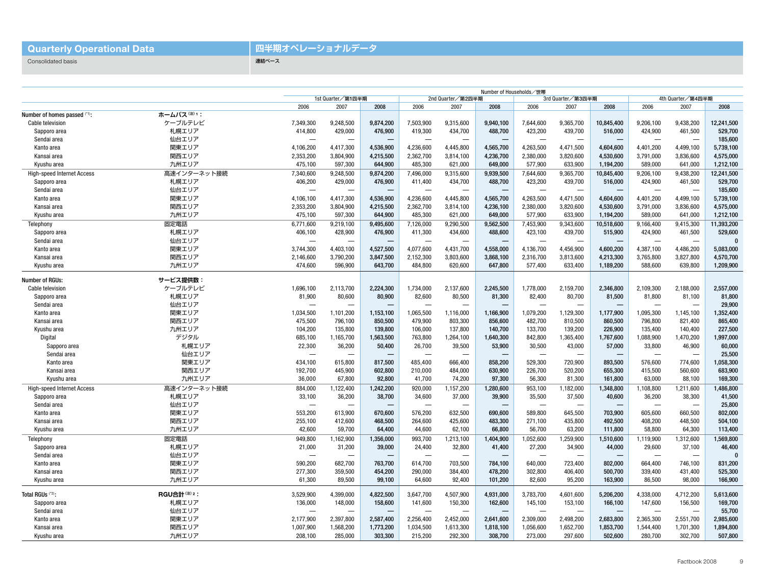#### **Quarterly Operational Data**

### **四半期オペレーショナルデータ**

連結ベース

Consolidated basis

|                                   |             | Number of Households/世帯  |                                        |                          |                          |                          |                          |                          |                          |                          |                          |                          |            |
|-----------------------------------|-------------|--------------------------|----------------------------------------|--------------------------|--------------------------|--------------------------|--------------------------|--------------------------|--------------------------|--------------------------|--------------------------|--------------------------|------------|
|                                   |             |                          | 1st Quarter/第1四半期<br>2nd Quarter/第2四半期 |                          |                          |                          | 3rd Quarter/第3四半期        |                          |                          |                          | 4th Quarter/第4四半期        |                          |            |
|                                   |             | 2006                     | 2007                                   | 2008                     | 2006                     | 2007                     | 2008                     | 2006                     | 2007                     | 2008                     | 2006                     | 2007                     | 2008       |
| Number of homes passed (*1):      | ホームパス(注)1:  |                          |                                        |                          |                          |                          |                          |                          |                          |                          |                          |                          |            |
| Cable television                  | ケーブルテレビ     | 7,349,300                | 9,248,500                              | 9,874,200                | 7,503,900                | 9,315,600                | 9,940,100                | 7,644,600                | 9,365,700                | 10,845,400               | 9,206,100                | 9,438,200                | 12,241,500 |
| Sapporo area                      | 札幌エリア       | 414,800                  | 429,000                                | 476,900                  | 419,300                  | 434,700                  | 488,700                  | 423,200                  | 439,700                  | 516,000                  | 424,900                  | 461,500                  | 529,700    |
| Sendai area                       | 仙台エリア       |                          | $\overline{\phantom{m}}$               |                          | $\overline{\phantom{m}}$ | $\overline{\phantom{m}}$ | $\overline{\phantom{0}}$ | $\overline{\phantom{a}}$ | $\overline{\phantom{a}}$ |                          | -                        | ÷                        | 185,600    |
| Kanto area                        | 関東エリア       | 4,106,200                | 4,417,300                              | 4.536.900                | 4,236,600                | 4,445,800                | 4.565.700                | 4,263,500                | 4,471,500                | 4,604,600                | 4,401,200                | 4,499,100                | 5,739,100  |
| Kansai area                       | 関西エリア       | 2,353,200                | 3,804,900                              | 4,215,500                | 2,362,700                | 3,814,100                | 4,236,700                | 2,380,000                | 3,820,600                | 4,530,600                | 3,791,000                | 3,836,600                | 4,575,000  |
| Kyushu area                       | 九州エリア       | 475,100                  | 597,300                                | 644.900                  | 485,300                  | 621,000                  | 649.000                  | 577,900                  | 633,900                  | 1,194,200                | 589,000                  | 641,000                  | 1,212,100  |
| <b>High-speed Internet Access</b> | 高速インターネット接続 | 7.340.600                | 9.248.500                              | 9.874.200                | 7,496,000                | 9,315,600                | 9.939.500                | 7,644,600                | 9,365,700                | 10,845,400               | 9,206,100                | 9,438,200                | 12,241,500 |
| Sapporo area                      | 札幌エリア       | 406,200                  | 429,000                                | 476,900                  | 411,400                  | 434,700                  | 488,700                  | 423,200                  | 439,700                  | 516,000                  | 424,900                  | 461,500                  | 529.700    |
| Sendai area                       | 仙台エリア       |                          | ÷                                      |                          | $\overline{\phantom{0}}$ |                          |                          |                          |                          |                          |                          |                          | 185,600    |
| Kanto area                        | 関東エリア       | 4,106,100                | 4,417,300                              | 4,536,900                | 4,236,600                | 4,445,800                | 4,565,700                | 4,263,500                | 4,471,500                | 4,604,600                | 4,401,200                | 4,499,100                | 5,739,100  |
| Kansai area                       | 関西エリア       | 2,353,200                | 3,804,900                              | 4,215,500                | 2,362,700                | 3,814,100                | 4,236,100                | 2,380,000                | 3,820,600                | 4,530,600                | 3,791,000                | 3,836,600                | 4,575,000  |
| Kyushu area                       | 九州エリア       | 475,100                  | 597,300                                | 644,900                  | 485,300                  | 621,000                  | 649,000                  | 577,900                  | 633,900                  | 1,194,200                | 589,000                  | 641,000                  | 1,212,100  |
| Telephony                         | 固定電話        | 6,771,600                | 9,219,100                              | 9,495,600                | 7,126,000                | 9,290,500                | 9,562,500                | 7,453,900                | 9,343,600                | 10,518,600               | 9,166,400                | 9,415,300                | 11,393,200 |
| Sapporo area                      | 札幌エリア       | 406,100                  | 428,900                                | 476,900                  | 411,300                  | 434,600                  | 488,600                  | 423,100                  | 439,700                  | 515,900                  | 424,900                  | 461,500                  | 529,600    |
| Sendai area                       | 仙台エリア       | $\overline{\phantom{0}}$ | $\overline{\phantom{0}}$               | $\overline{\phantom{0}}$ |                          | $\overline{\phantom{m}}$ | $\overline{\phantom{0}}$ |                          | $\overline{\phantom{0}}$ |                          | -                        | -                        | $\Omega$   |
| Kanto area                        | 関東エリア       | 3,744,300                | 4,403,100                              | 4,527,500                | 4,077,600                | 4.431.700                | 4,558,000                | 4,136,700                | 4,456,900                | 4,600,200                | 4,387,100                | 4,486,200                | 5,083,000  |
| Kansai area                       | 関西エリア       | 2,146,600                | 3,790,200                              | 3,847,500                | 2,152,300                | 3,803,600                | 3,868,100                | 2.316.700                | 3,813,600                | 4,213,300                | 3,765,800                | 3,827,800                | 4,570,700  |
| Kyushu area                       | 九州エリア       | 474.600                  | 596.900                                | 643.700                  | 484,800                  | 620,600                  | 647,800                  | 577,400                  | 633,400                  | 1,189,200                | 588,600                  | 639,800                  | 1,209,900  |
|                                   |             |                          |                                        |                          |                          |                          |                          |                          |                          |                          |                          |                          |            |
| Number of RGUs:                   | サービス提供数:    |                          |                                        |                          |                          |                          |                          |                          |                          |                          |                          |                          |            |
| Cable television                  | ケーブルテレビ     | 1.696.100                | 2.113.700                              | 2.224.300                | 1.734.000                | 2.137.600                | 2.245.500                | 1.778.000                | 2.159.700                | 2.346.800                | 2.109.300                | 2,188,000                | 2.557.000  |
| Sapporo area                      | 札幌エリア       | 81,900                   | 80,600                                 | 80.900                   | 82,600                   | 80,500                   | 81.300                   | 82,400                   | 80,700                   | 81,500                   | 81,800                   | 81,100                   | 81,800     |
| Sendai area                       | 仙台エリア       |                          | ÷.                                     |                          |                          |                          |                          |                          |                          |                          |                          |                          | 29,900     |
| Kanto area                        | 関東エリア       | 1,034,500                | 1,101,200                              | 1,153,100                | 1,065,500                | 1,116,000                | 1,166,900                | 1,079,200                | 1,129,300                | 1,177,900                | 1,095,300                | 1,145,100                | 1,352,400  |
| Kansai area                       | 関西エリア       | 475,500                  | 796,100                                | 850,500                  | 479,900                  | 803,300                  | 856,600                  | 482,700                  | 810,500                  | 860,500                  | 796,800                  | 821,400                  | 865,400    |
| Kyushu area                       | 九州エリア       | 104,200                  | 135,800                                | 139,800                  | 106,000                  | 137,800                  | 140,700                  | 133,700                  | 139,200                  | 226,900                  | 135,400                  | 140,400                  | 227,500    |
| Digital                           | デジタル        | 685.100                  | 1,165,700                              | 1.563.500                | 763,800                  | 1,264,100                | 1.640.300                | 842,800                  | 1,365,400                | 1.767.600                | 1,088,900                | 1,470,200                | 1,997,000  |
| Sapporo area                      | 札幌エリア       | 22,300                   | 36,200                                 | 50,400                   | 26,700                   | 39,500                   | 53,900                   | 30,500                   | 43,000                   | 57,000                   | 33,800                   | 46,900                   | 60,000     |
| Sendai area                       | 仙台エリア       |                          |                                        |                          |                          |                          | —<br>—                   |                          |                          |                          |                          |                          | 25,500     |
| Kanto area                        | 関東エリア       | 434.100                  | 615.800                                | 817.500                  | 485.400                  | 666.400                  | 858.200                  | 529.300                  | 720.900                  | 893.500                  | 576,600                  | 774.600                  | 1,058,300  |
| Kansai area                       | 関西エリア       | 192.700                  | 445.900                                | 602,800                  | 210,000                  | 484,000                  | 630.900                  | 226,700                  | 520,200                  | 655,300                  | 415,500                  | 560,600                  | 683,900    |
| Kyushu area                       | 九州エリア       | 36,000                   | 67.800                                 | 92.800                   | 41,700                   | 74,200                   | 97.300                   | 56,300                   | 81,300                   | 161.800                  | 63,000                   | 88,100                   | 169.300    |
| <b>High-speed Internet Access</b> | 高速インターネット接続 | 884,000                  | 1,122,400                              | 1,242,200                | 920,000                  | 1,157,200                | 1,280,600                | 953,100                  | 1,182,000                | 1,348,800                | 1,108,800                | 1,211,600                | 1,486,800  |
| Sapporo area                      | 札幌エリア       | 33,100                   | 36,200                                 | 38,700                   | 34,600                   | 37,000                   | 39,900                   | 35,500                   | 37,500                   | 40,600                   | 36,200                   | 38,300                   | 41,500     |
| Sendai area                       | 仙台エリア       | $\overline{\phantom{0}}$ | $\overline{\phantom{0}}$               |                          | $\overline{\phantom{0}}$ |                          |                          |                          | $\overline{\phantom{0}}$ |                          |                          |                          | 25,800     |
| Kanto area                        | 関東エリア       | 553,200                  | 613,900                                | 670,600                  | 576,200                  | 632,500                  | 690,600                  | 589,800                  | 645,500                  | 703,900                  | 605,600                  | 660,500                  | 802,000    |
| Kansai area                       | 関西エリア       | 255,100                  | 412,600                                | 468,500                  | 264,600                  | 425,600                  | 483.300                  | 271.100                  | 435,800                  | 492,500                  | 408,200                  | 448,500                  | 504,100    |
| Kyushu area                       | 九州エリア       | 42,600                   | 59,700                                 | 64,400                   | 44,600                   | 62,100                   | 66,800                   | 56,700                   | 63,200                   | 111,800                  | 58,800                   | 64,300                   | 113,400    |
| Telephony                         | 固定電話        | 949,800                  | 1,162,900                              | 1,356,000                | 993,700                  | 1,213,100                | 1,404,900                | 1,052,600                | 1,259,900                | 1,510,600                | 1,119,900                | 1,312,600                | 1,569,800  |
| Sapporo area                      | 札幌エリア       | 21,000                   | 31,200                                 | 39,000                   | 24,400                   | 32,800                   | 41.400                   | 27,200                   | 34,900                   | 44,000                   | 29,600                   | 37,100                   | 46,400     |
| Sendai area                       | 仙台エリア       | $\overline{\phantom{0}}$ | $\overline{\phantom{m}}$               |                          | $\overline{\phantom{m}}$ | $\overline{\phantom{m}}$ |                          |                          |                          | $\overline{\phantom{m}}$ | $\overline{\phantom{0}}$ | $\overline{\phantom{0}}$ | $\Omega$   |
| Kanto area                        | 関東エリア       | 590.200                  | 682.700                                | 763.700                  | 614.700                  | 703.500                  | 784.100                  | 640.000                  | 723.400                  | 802.000                  | 664.400                  | 746.100                  | 831.200    |
| Kansai area                       | 関西エリア       | 277,300                  | 359,500                                | 454,200                  | 290,000                  | 384,400                  | 478,200                  | 302,800                  | 406,400                  | 500,700                  | 339,400                  | 431,400                  | 525,300    |
| Kyushu area                       | 九州エリア       | 61,300                   | 89,500                                 | 99,100                   | 64,600                   | 92,400                   | 101,200                  | 82,600                   | 95,200                   | 163,900                  | 86,500                   | 98,000                   | 166,900    |
|                                   |             |                          |                                        |                          |                          |                          |                          |                          |                          |                          |                          |                          |            |
| Total RGUs (*2):                  | RGU合計(注) 2: | 3,529,900                | 4,399,000                              | 4,822,500                | 3,647,700                | 4,507,900                | 4,931,000                | 3,783,700                | 4,601,600                | 5,206,200                | 4,338,000                | 4,712,200                | 5,613,600  |
| Sapporo area                      | 札幌エリア       | 136,000                  | 148,000                                | 158,600                  | 141,600                  | 150,300                  | 162,600                  | 145,100                  | 153,100                  | 166,100                  | 147,600                  | 156,500                  | 169,700    |
| Sendai area                       | 仙台エリア       | $\overline{\phantom{a}}$ | $\overline{\phantom{0}}$               | $\overline{\phantom{0}}$ | $\overline{\phantom{a}}$ | $\overline{\phantom{0}}$ | $\overline{\phantom{a}}$ |                          |                          |                          |                          |                          | 55,700     |
| Kanto area                        | 関東エリア       | 2,177,900                | 2,397,800                              | 2,587,400                | 2,256,400                | 2,452,000                | 2,641,600                | 2,309,000                | 2,498,200                | 2,683,800                | 2,365,300                | 2,551,700                | 2,985,600  |
| Kansai area                       | 関西エリア       | 1,007,900                | 1,568,200                              | 1,773,200                | 1,034,500                | 1,613,300                | 1,818,100                | 1,056,600                | 1,652,700                | 1,853,700                | 1,544,400                | 1,701,300                | 1,894,800  |
| Kyushu area                       | 九州エリア       | 208,100                  | 285,000                                | 303,300                  | 215,200                  | 292,300                  | 308,700                  | 273,000                  | 297,600                  | 502,600                  | 280,700                  | 302,700                  | 507,800    |
|                                   |             |                          |                                        |                          |                          |                          |                          |                          |                          |                          |                          |                          |            |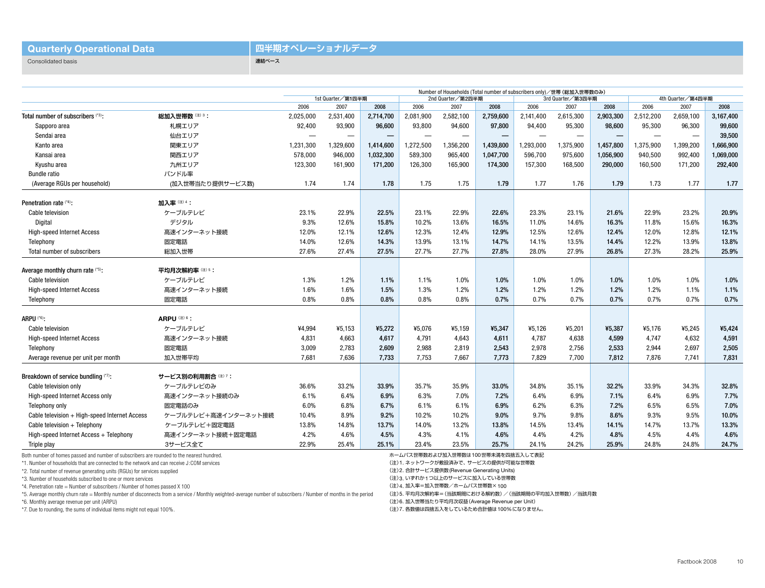#### **Quarterly Operational Data**

#### **四半期オペレーショナルデータ**

連結ベース

Consolidated basis

|                                               |                         | Number of Households (Total number of subscribers only) /世帯 (総加入世帯数のみ) |                   |           |                          |                          |           |           |                          |           |                          |                          |           |
|-----------------------------------------------|-------------------------|------------------------------------------------------------------------|-------------------|-----------|--------------------------|--------------------------|-----------|-----------|--------------------------|-----------|--------------------------|--------------------------|-----------|
|                                               |                         | 1st Quarter/第1四半期                                                      |                   |           |                          | 2nd Quarter/第2四半期        |           |           | 3rd Quarter/第3四半期        |           | 4th Quarter/第4四半期        |                          |           |
|                                               |                         | 2006                                                                   | 2007              | 2008      | 2006                     | 2007                     | 2008      | 2006      | 2007                     | 2008      | 2006                     | 2007                     | 2008      |
| Total number of subscribers (*3):             | 総加入世帯数(注)3:             | 2,025,000                                                              | 2,531,400         | 2,714,700 | 2,081,900                | 2,582,100                | 2,759,600 | 2,141,400 | 2,615,300                | 2,903,300 | 2,512,200                | 2,659,100                | 3,167,400 |
| Sapporo area                                  | 札幌エリア                   | 92,400                                                                 | 93,900            | 96,600    | 93,800                   | 94,600                   | 97,800    | 94,400    | 95,300                   | 98,600    | 95,300                   | 96,300                   | 99,600    |
| Sendai area                                   | 仙台エリア                   |                                                                        | $\hspace{0.05cm}$ |           | $\overline{\phantom{0}}$ | $\overline{\phantom{m}}$ | —         |           | $\overline{\phantom{0}}$ |           | $\overline{\phantom{0}}$ | $\overline{\phantom{0}}$ | 39,500    |
| Kanto area                                    | 関東エリア                   | 1,231,300                                                              | ,329,600          | 1,414,600 | 1,272,500                | 1,356,200                | 1,439,800 | 1,293,000 | 1,375,900                | 1,457,800 | 1,375,900                | 1,399,200                | 1,666,900 |
| Kansai area                                   | 関西エリア                   | 578,000                                                                | 946,000           | 1,032,300 | 589,300                  | 965,400                  | 1,047,700 | 596,700   | 975,600                  | 1,056,900 | 940,500                  | 992,400                  | 1,069,000 |
| Kyushu area                                   | 九州エリア                   | 123,300                                                                | 161,900           | 171.200   | 126,300                  | 165,900                  | 174,300   | 157,300   | 168,500                  | 290,000   | 160,500                  | 171,200                  | 292,400   |
| <b>Bundle ratio</b>                           | バンドル率                   |                                                                        |                   |           |                          |                          |           |           |                          |           |                          |                          |           |
| (Average RGUs per household)                  | (加入世帯当たり提供サービス数)        | 1.74                                                                   | 1.74              | 1.78      | 1.75                     | 1.75                     | 1.79      | 1.77      | 1.76                     | 1.79      | 1.73                     | 1.77                     | 1.77      |
| Penetration rate (*4):                        | 加入率(注) 4:               |                                                                        |                   |           |                          |                          |           |           |                          |           |                          |                          |           |
| Cable television                              | ケーブルテレビ                 | 23.1%                                                                  | 22.9%             | 22.5%     | 23.1%                    | 22.9%                    | 22.6%     | 23.3%     | 23.1%                    | 21.6%     | 22.9%                    | 23.2%                    | 20.9%     |
| Digital                                       | デジタル                    | 9.3%                                                                   | 12.6%             | 15.8%     | 10.2%                    | 13.6%                    | 16.5%     | 11.0%     | 14.6%                    | 16.3%     | 11.8%                    | 15.6%                    | 16.3%     |
| <b>High-speed Internet Access</b>             | 高速インターネット接続             | 12.0%                                                                  | 12.1%             | 12.6%     | 12.3%                    | 12.4%                    | 12.9%     | 12.5%     | 12.6%                    | 12.4%     | 12.0%                    | 12.8%                    | 12.1%     |
| Telephony                                     | 固定電話                    | 14.0%                                                                  | 12.6%             | 14.3%     | 13.9%                    | 13.1%                    | 14.7%     | 14.1%     | 13.5%                    | 14.4%     | 12.2%                    | 13.9%                    | 13.8%     |
| Total number of subscribers                   | 総加入世帯                   | 27.6%                                                                  | 27.4%             | 27.5%     | 27.7%                    | 27.7%                    | 27.8%     | 28.0%     | 27.9%                    | 26.8%     | 27.3%                    | 28.2%                    | 25.9%     |
| Average monthly churn rate (*5):              | 平均月次解約率(注)5:            |                                                                        |                   |           |                          |                          |           |           |                          |           |                          |                          |           |
| Cable television                              | ケーブルテレビ                 | 1.3%                                                                   | 1.2%              | 1.1%      | 1.1%                     | 1.0%                     | 1.0%      | 1.0%      | 1.0%                     | 1.0%      | 1.0%                     | 1.0%                     | 1.0%      |
| <b>High-speed Internet Access</b>             | 高速インターネット接続             | 1.6%                                                                   | 1.6%              | 1.5%      | 1.3%                     | 1.2%                     | 1.2%      | 1.2%      | 1.2%                     | 1.2%      | 1.2%                     | 1.1%                     | 1.1%      |
| Telephony                                     | 固定電話                    | 0.8%                                                                   | 0.8%              | 0.8%      | 0.8%                     | 0.8%                     | 0.7%      | 0.7%      | 0.7%                     | 0.7%      | 0.7%                     | 0.7%                     | 0.7%      |
| ARPU (*6):                                    | ARPU <sup>(注) 6</sup> : |                                                                        |                   |           |                          |                          |           |           |                          |           |                          |                          |           |
| Cable television                              | ケーブルテレビ                 | ¥4,994                                                                 | ¥5,153            | ¥5,272    | ¥5,076                   | ¥5,159                   | ¥5,347    | ¥5,126    | ¥5,201                   | ¥5,387    | ¥5,176                   | ¥5,245                   | ¥5,424    |
| <b>High-speed Internet Access</b>             | 高速インターネット接続             | 4,831                                                                  | 4,663             | 4,617     | 4,791                    | 4,643                    | 4,611     | 4,787     | 4,638                    | 4,599     | 4,747                    | 4,632                    | 4,591     |
| Telephony                                     | 固定電話                    | 3,009                                                                  | 2,783             | 2,609     | 2,988                    | 2,819                    | 2,543     | 2,978     | 2,756                    | 2,533     | 2,944                    | 2,697                    | 2,505     |
| Average revenue per unit per month            | 加入世帯平均                  | 7,681                                                                  | 7,636             | 7,733     | 7,753                    | 7,667                    | 7,773     | 7,829     | 7,700                    | 7,812     | 7,876                    | 7,741                    | 7,831     |
| Breakdown of service bundling (*7):           | サービス別の利用割合 (注)7:        |                                                                        |                   |           |                          |                          |           |           |                          |           |                          |                          |           |
| Cable television only                         | ケーブルテレビのみ               | 36.6%                                                                  | 33.2%             | 33.9%     | 35.7%                    | 35.9%                    | 33.0%     | 34.8%     | 35.1%                    | 32.2%     | 33.9%                    | 34.3%                    | 32.8%     |
| High-speed Internet Access only               | 高速インターネット接続のみ           | 6.1%                                                                   | 6.4%              | 6.9%      | 6.3%                     | 7.0%                     | 7.2%      | 6.4%      | 6.9%                     | 7.1%      | 6.4%                     | 6.9%                     | 7.7%      |
| Telephony only                                | 固定電話のみ                  | 6.0%                                                                   | 6.8%              | 6.7%      | 6.1%                     | 6.1%                     | 6.9%      | 6.2%      | 6.3%                     | 7.2%      | 6.5%                     | 6.5%                     | 7.0%      |
| Cable television + High-speed Internet Access | ケーブルテレビ+高速インターネット接続     | 10.4%                                                                  | 8.9%              | 9.2%      | 10.2%                    | 10.2%                    | 9.0%      | 9.7%      | 9.8%                     | 8.6%      | 9.3%                     | 9.5%                     | 10.0%     |
| Cable television $+$ Telephony                | ケーブルテレビ+固定電話            | 13.8%                                                                  | 14.8%             | 13.7%     | 14.0%                    | 13.2%                    | 13.8%     | 14.5%     | 13.4%                    | 14.1%     | 14.7%                    | 13.7%                    | 13.3%     |
| High-speed Internet Access + Telephony        | 高速インターネット接続+固定電話        | 4.2%                                                                   | 4.6%              | 4.5%      | 4.3%                     | 4.1%                     | 4.6%      | 4.4%      | 4.2%                     | 4.8%      | 4.5%                     | 4.4%                     | 4.6%      |
| Triple play                                   | 3サービス全て                 | 22.9%                                                                  | 25.4%             | 25.1%     | 23.4%                    | 23.5%                    | 25.7%     | 24.1%     | 24.2%                    | 25.9%     | 24.8%                    | 24.8%                    | 24.7%     |
|                                               |                         |                                                                        |                   |           |                          |                          |           |           |                          |           |                          |                          |           |

Both number of homes passed and number of subscribers are rounded to the nearest hundred.

\*1. Number of households that are connected to the network and can receive J:COM services

\*2. Total number of revenue generating units (RGUs) for services supplied

\*3. Number of households subscribed to one or more services

 $*4$ . Penetration rate = Number of subscribers / Number of homes passed X 100

\*5. Average monthly churn rate = Monthly number of disconnects from a service / Monthly weighted-average number of subscribers / Number of months in the period

\*6. Monthly average revenue per unit (ARPU)

\*7. Due to rounding, the sums of individual items might not equal 100%.

ホームパス世帯数および加入世帯数は100世帯未満を四捨五入して表記

(注)1. ネットワークが敷設済みで、サービスの提供が可能な世帯数

(注)2. 合計サービス提供数(Revenue Generating Units)

(注)3. いずれか1つ以上のサービスに加入している世帯数

(注)4. 加入率=加入世帯数/ホームパス世帯数×100

(注)5. 平均月次解約率=(当該期間における解約数)/(当該期間の平均加入世帯数)/当該月数

(注)6. 加入世帯当たり平均月次収益(Average Revenue per Unit)

(注)7. 各数値は四捨五入をしているため合計値は100%になりません。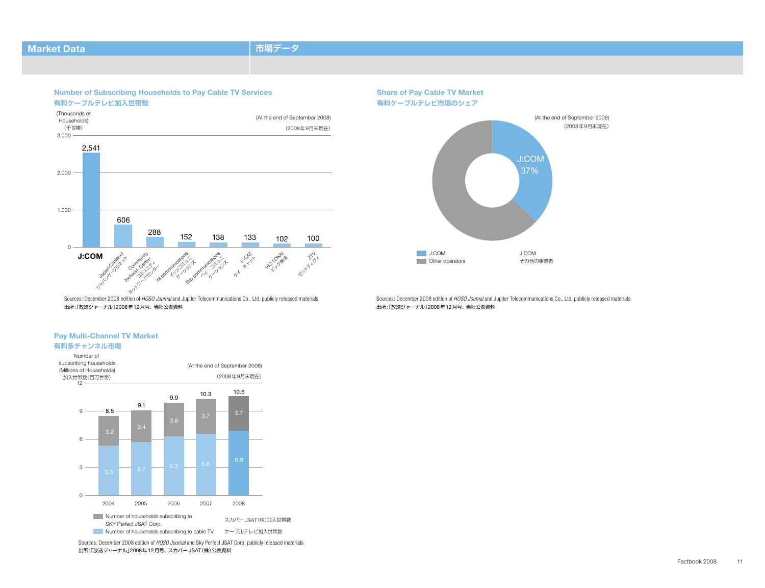#### **Market Data 市場データ**

**Number of Subscribing Households to Pay Cable TV Services 有料ケーブルテレビ加入世帯数**





Sources: December 2008 edition of *HOSO Journal* and Jupiter Telecommunications Co., Ltd. publicly released materials 出所「: 放送ジャーナル」2008年12月号、当社公表資料

#### **Pay Multi-Channel TV Market**

#### **有料多チャンネル市場**



Sources: December 2008 edition of *HOSO Journal* and Sky Perfect JSAT Corp. publicly released materials 出所「: 放送ジャーナル」2008年12月号、スカパー JSAT(株)公表資料

Sources: December 2008 edition of *HOSO Journal* and Jupiter Telecommunications Co., Ltd. publicly released materials 出所「: 放送ジャーナル」2008年12月号、当社公表資料